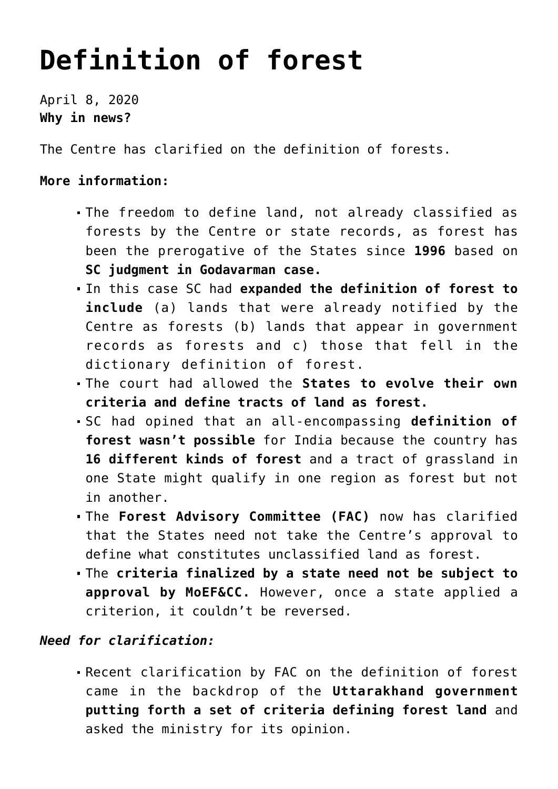## **[Definition of forest](https://journalsofindia.com/definition-of-forest/)**

April 8, 2020 **Why in news?**

The Centre has clarified on the definition of forests.

## **More information:**

- The freedom to define land, not already classified as forests by the Centre or state records, as forest has been the prerogative of the States since **1996** based on **SC judgment in Godavarman case.**
- In this case SC had **expanded the definition of forest to include** (a) lands that were already notified by the Centre as forests (b) lands that appear in government records as forests and c) those that fell in the dictionary definition of forest.
- The court had allowed the **States to evolve their own criteria and define tracts of land as forest.**
- SC had opined that an all-encompassing **definition of forest wasn't possible** for India because the country has **16 different kinds of forest** and a tract of grassland in one State might qualify in one region as forest but not in another.
- The **Forest Advisory Committee (FAC)** now has clarified that the States need not take the Centre's approval to define what constitutes unclassified land as forest.
- The **criteria finalized by a state need not be subject to approval by MoEF&CC.** However, once a state applied a criterion, it couldn't be reversed.

## *Need for clarification:*

Recent clarification by FAC on the definition of forest came in the backdrop of the **Uttarakhand government putting forth a set of criteria defining forest land** and asked the ministry for its opinion.